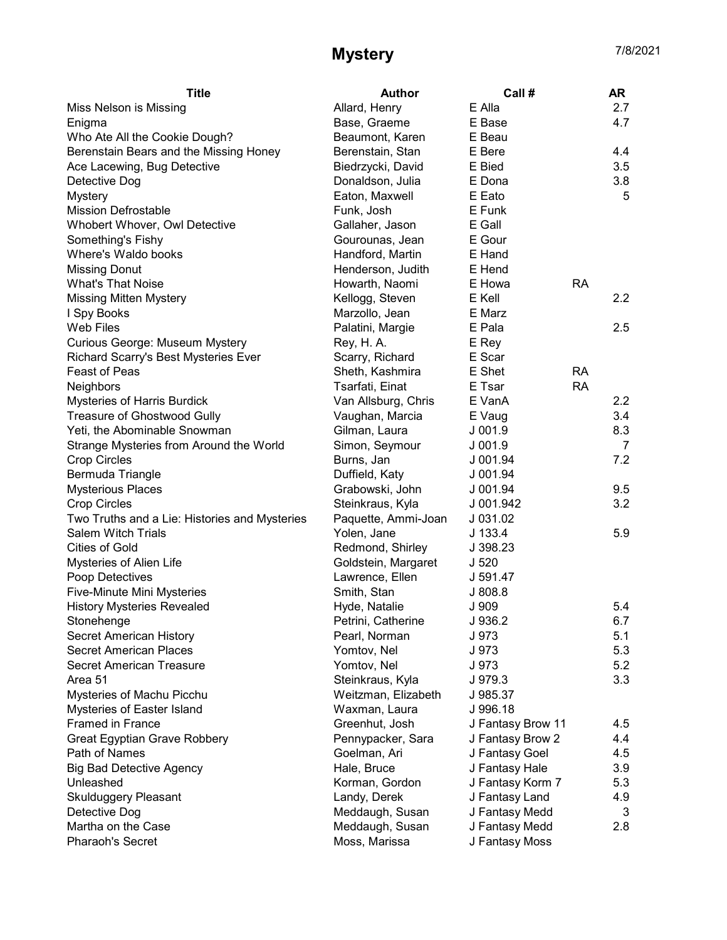## Mystery 7/8/2021

| <b>Title</b>                                  | <b>Author</b>                          | Call #              |           | AR  |
|-----------------------------------------------|----------------------------------------|---------------------|-----------|-----|
| Miss Nelson is Missing                        | Allard, Henry                          | E Alla              |           | 2.7 |
| Enigma                                        | Base, Graeme                           | E Base              |           | 4.7 |
| Who Ate All the Cookie Dough?                 | Beaumont, Karen                        | E Beau              |           |     |
| Berenstain Bears and the Missing Honey        | Berenstain, Stan                       | E Bere              |           | 4.4 |
| Ace Lacewing, Bug Detective                   | Biedrzycki, David                      | E Bied              |           | 3.5 |
| Detective Dog                                 | Donaldson, Julia                       | E Dona              |           | 3.8 |
| <b>Mystery</b>                                | Eaton, Maxwell                         | E Eato              |           | 5   |
| <b>Mission Defrostable</b>                    | Funk, Josh                             | E Funk              |           |     |
| Whobert Whover, Owl Detective                 | Gallaher, Jason                        | E Gall              |           |     |
| Something's Fishy                             | Gourounas, Jean                        | E Gour              |           |     |
| Where's Waldo books                           | Handford, Martin                       | E Hand              |           |     |
| <b>Missing Donut</b>                          | Henderson, Judith                      | E Hend              |           |     |
| <b>What's That Noise</b>                      | Howarth, Naomi                         | E Howa              | <b>RA</b> |     |
| <b>Missing Mitten Mystery</b>                 | Kellogg, Steven                        | E Kell              |           | 2.2 |
| I Spy Books                                   | Marzollo, Jean                         | E Marz              |           |     |
| <b>Web Files</b>                              | Palatini, Margie                       | E Pala              |           | 2.5 |
| Curious George: Museum Mystery                | Rey, H. A.                             | E Rey               |           |     |
| Richard Scarry's Best Mysteries Ever          | Scarry, Richard                        | E Scar              |           |     |
| <b>Feast of Peas</b>                          | Sheth, Kashmira                        | E Shet              | <b>RA</b> |     |
| <b>Neighbors</b>                              | Tsarfati, Einat                        | E Tsar              | <b>RA</b> |     |
| Mysteries of Harris Burdick                   | Van Allsburg, Chris                    | E VanA              |           | 2.2 |
| <b>Treasure of Ghostwood Gully</b>            | Vaughan, Marcia                        | E Vaug              |           | 3.4 |
| Yeti, the Abominable Snowman                  | Gilman, Laura                          | J 001.9             |           | 8.3 |
| Strange Mysteries from Around the World       | Simon, Seymour                         | $J$ 001.9           |           | 7   |
| <b>Crop Circles</b>                           | Burns, Jan                             | J 001.94            |           | 7.2 |
| Bermuda Triangle                              | Duffield, Katy                         | J 001.94            |           |     |
| <b>Mysterious Places</b>                      | Grabowski, John                        | $J$ 001.94          |           | 9.5 |
| <b>Crop Circles</b>                           | Steinkraus, Kyla                       | J 001.942           |           | 3.2 |
| Two Truths and a Lie: Histories and Mysteries | Paquette, Ammi-Joan                    | J 031.02            |           |     |
| <b>Salem Witch Trials</b>                     | Yolen, Jane                            | $J$ 133.4           |           | 5.9 |
| <b>Cities of Gold</b>                         | Redmond, Shirley                       | J 398.23            |           |     |
|                                               |                                        |                     |           |     |
| Mysteries of Alien Life<br>Poop Detectives    | Goldstein, Margaret<br>Lawrence, Ellen | J <sub>520</sub>    |           |     |
|                                               |                                        | J 591.47<br>J 808.8 |           |     |
| Five-Minute Mini Mysteries                    | Smith, Stan                            |                     |           |     |
| <b>History Mysteries Revealed</b>             | Hyde, Natalie                          | J 909<br>J 936.2    |           | 5.4 |
| Stonehenge                                    | Petrini, Catherine                     |                     |           | 6.7 |
| Secret American History                       | Pearl, Norman                          | J 973               |           | 5.1 |
| <b>Secret American Places</b>                 | Yomtov, Nel                            | J 973               |           | 5.3 |
| <b>Secret American Treasure</b>               | Yomtov, Nel                            | J 973               |           | 5.2 |
| Area 51                                       | Steinkraus, Kyla                       | J 979.3             |           | 3.3 |
| Mysteries of Machu Picchu                     | Weitzman, Elizabeth                    | J 985.37            |           |     |
| Mysteries of Easter Island                    | Waxman, Laura                          | J 996.18            |           |     |
| <b>Framed in France</b>                       | Greenhut, Josh                         | J Fantasy Brow 11   |           | 4.5 |
| Great Egyptian Grave Robbery                  | Pennypacker, Sara                      | J Fantasy Brow 2    |           | 4.4 |
| Path of Names                                 | Goelman, Ari                           | J Fantasy Goel      |           | 4.5 |
| <b>Big Bad Detective Agency</b>               | Hale, Bruce                            | J Fantasy Hale      |           | 3.9 |
| Unleashed                                     | Korman, Gordon                         | J Fantasy Korm 7    |           | 5.3 |
| <b>Skulduggery Pleasant</b>                   | Landy, Derek                           | J Fantasy Land      |           | 4.9 |
| Detective Dog                                 | Meddaugh, Susan                        | J Fantasy Medd      |           | 3   |
| Martha on the Case                            | Meddaugh, Susan                        | J Fantasy Medd      |           | 2.8 |
| Pharaoh's Secret                              | Moss, Marissa                          | J Fantasy Moss      |           |     |